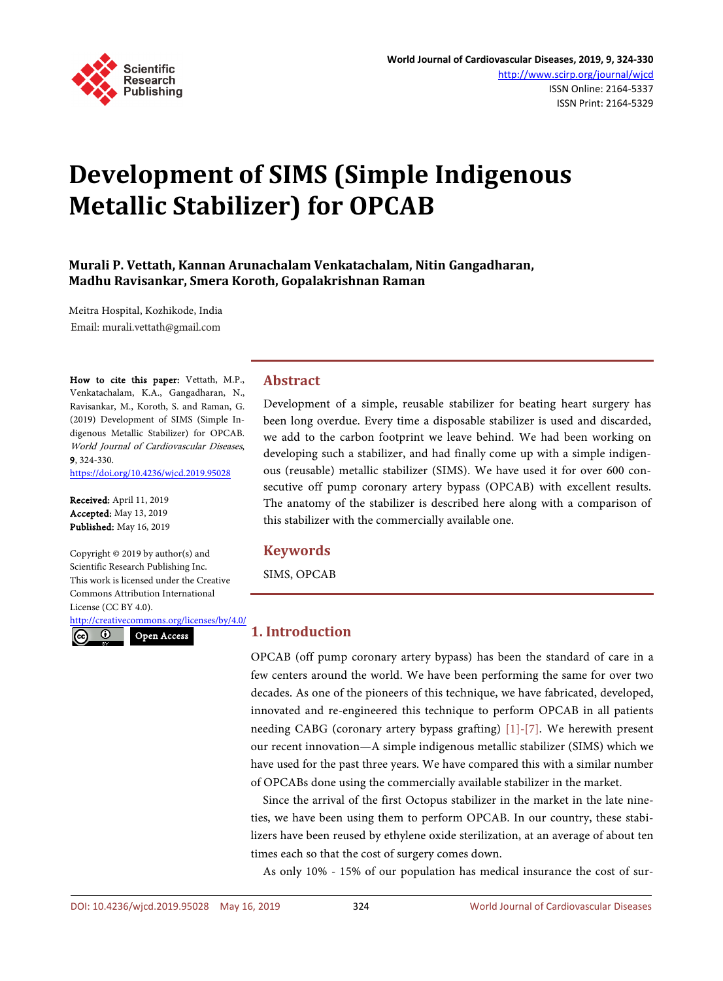

# **Development of SIMS (Simple Indigenous Metallic Stabilizer) for OPCAB**

**Murali P. Vettath, Kannan Arunachalam Venkatachalam, Nitin Gangadharan, Madhu Ravisankar, Smera Koroth, Gopalakrishnan Raman**

Meitra Hospital, Kozhikode, India Email: murali.vettath@gmail.com

How to cite this paper: Vettath, M.P., Venkatachalam, K.A., Gangadharan, N., Ravisankar, M., Koroth, S. and Raman, G. (2019) Development of SIMS (Simple Indigenous Metallic Stabilizer) for OPCAB. World Journal of Cardiovascular Diseases, 9, 324-330.

<https://doi.org/10.4236/wjcd.2019.95028>

Received: April 11, 2019 Accepted: May 13, 2019 Published: May 16, 2019

Copyright © 2019 by author(s) and Scientific Research Publishing Inc. This work is licensed under the Creative Commons Attribution International License (CC BY 4.0).

<http://creativecommons.org/licenses/by/4.0/>  $\overline{\odot}$ 

Open Access

# **Abstract**

Development of a simple, reusable stabilizer for beating heart surgery has been long overdue. Every time a disposable stabilizer is used and discarded, we add to the carbon footprint we leave behind. We had been working on developing such a stabilizer, and had finally come up with a simple indigenous (reusable) metallic stabilizer (SIMS). We have used it for over 600 consecutive off pump coronary artery bypass (OPCAB) with excellent results. The anatomy of the stabilizer is described here along with a comparison of this stabilizer with the commercially available one.

# **Keywords**

SIMS, OPCAB

# **1. Introduction**

OPCAB (off pump coronary artery bypass) has been the standard of care in a few centers around the world. We have been performing the same for over two decades. As one of the pioneers of this technique, we have fabricated, developed, innovated and re-engineered this technique to perform OPCAB in all patients needing CABG (coronary artery bypass grafting) [\[1\]-](#page-6-0)[\[7\].](#page-6-1) We herewith present our recent innovation—A simple indigenous metallic stabilizer (SIMS) which we have used for the past three years. We have compared this with a similar number of OPCABs done using the commercially available stabilizer in the market.

Since the arrival of the first Octopus stabilizer in the market in the late nineties, we have been using them to perform OPCAB. In our country, these stabilizers have been reused by ethylene oxide sterilization, at an average of about ten times each so that the cost of surgery comes down.

As only 10% - 15% of our population has medical insurance the cost of sur-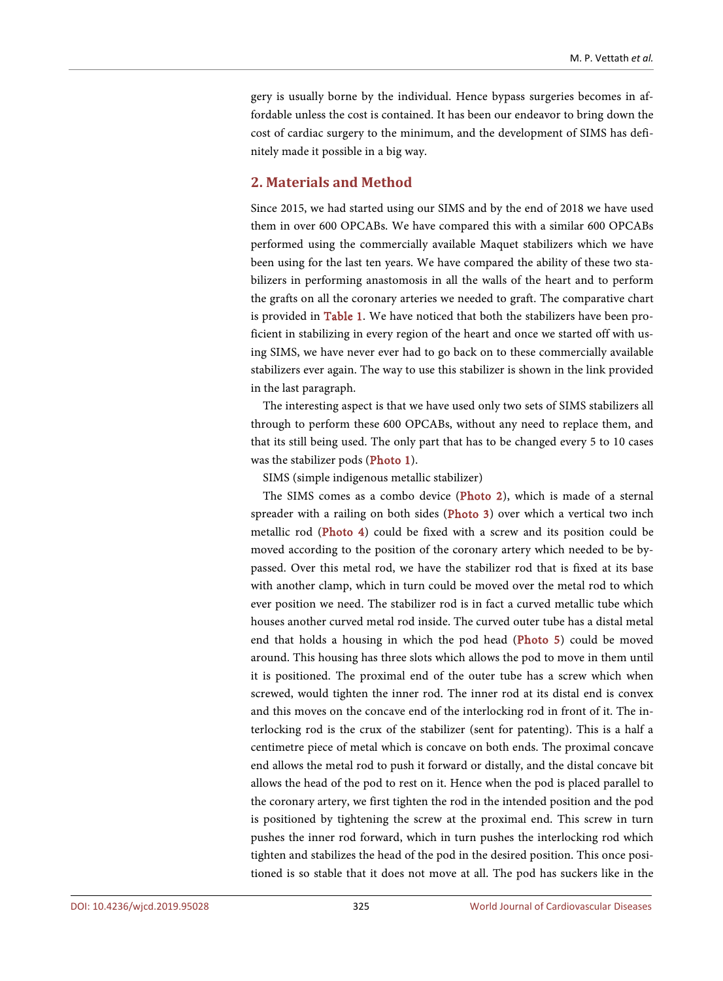gery is usually borne by the individual. Hence bypass surgeries becomes in affordable unless the cost is contained. It has been our endeavor to bring down the cost of cardiac surgery to the minimum, and the development of SIMS has definitely made it possible in a big way.

# **2. Materials and Method**

Since 2015, we had started using our SIMS and by the end of 2018 we have used them in over 600 OPCABs. We have compared this with a similar 600 OPCABs performed using the commercially available Maquet stabilizers which we have been using for the last ten years. We have compared the ability of these two stabilizers in performing anastomosis in all the walls of the heart and to perform the grafts on all the coronary arteries we needed to graft. The comparative chart is provided in [Table 1.](#page-2-0) We have noticed that both the stabilizers have been proficient in stabilizing in every region of the heart and once we started off with using SIMS, we have never ever had to go back on to these commercially available stabilizers ever again. The way to use this stabilizer is shown in the link provided in the last paragraph.

The interesting aspect is that we have used only two sets of SIMS stabilizers all through to perform these 600 OPCABs, without any need to replace them, and that its still being used. The only part that has to be changed every 5 to 10 cases was the stabilizer pods [\(Photo 1\)](#page-3-0).

SIMS (simple indigenous metallic stabilizer)

The SIMS comes as a combo device [\(Photo 2\)](#page-3-1), which is made of a sternal spreader with a railing on both sides [\(Photo 3\)](#page-3-2) over which a vertical two inch metallic rod [\(Photo 4\)](#page-4-0) could be fixed with a screw and its position could be moved according to the position of the coronary artery which needed to be bypassed. Over this metal rod, we have the stabilizer rod that is fixed at its base with another clamp, which in turn could be moved over the metal rod to which ever position we need. The stabilizer rod is in fact a curved metallic tube which houses another curved metal rod inside. The curved outer tube has a distal metal end that holds a housing in which the pod head [\(Photo 5\)](#page-4-1) could be moved around. This housing has three slots which allows the pod to move in them until it is positioned. The proximal end of the outer tube has a screw which when screwed, would tighten the inner rod. The inner rod at its distal end is convex and this moves on the concave end of the interlocking rod in front of it. The interlocking rod is the crux of the stabilizer (sent for patenting). This is a half a centimetre piece of metal which is concave on both ends. The proximal concave end allows the metal rod to push it forward or distally, and the distal concave bit allows the head of the pod to rest on it. Hence when the pod is placed parallel to the coronary artery, we first tighten the rod in the intended position and the pod is positioned by tightening the screw at the proximal end. This screw in turn pushes the inner rod forward, which in turn pushes the interlocking rod which tighten and stabilizes the head of the pod in the desired position. This once positioned is so stable that it does not move at all. The pod has suckers like in the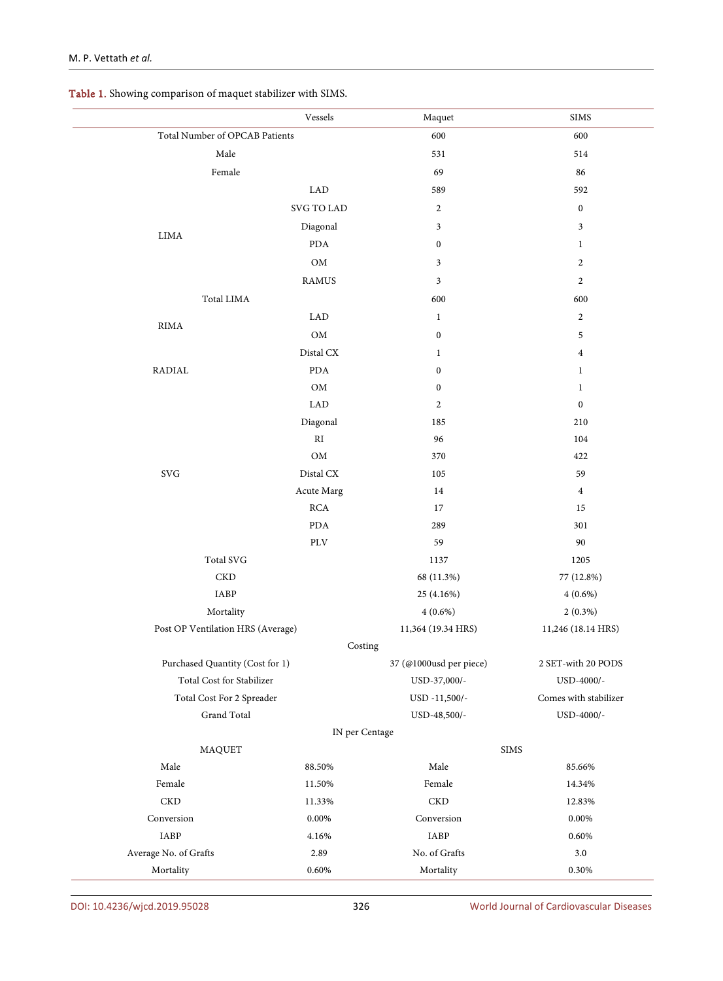<span id="page-2-0"></span>

|  | Table 1. Showing comparison of maquet stabilizer with SIMS. |  |
|--|-------------------------------------------------------------|--|
|--|-------------------------------------------------------------|--|

|                                               | $\it Vessels$                   | Maquet                  | <b>SIMS</b>             |
|-----------------------------------------------|---------------------------------|-------------------------|-------------------------|
| Total Number of OPCAB Patients                |                                 | 600                     | 600                     |
| $\rm Male$                                    |                                 | 531                     | 514                     |
| Female                                        |                                 | 69                      | 86                      |
|                                               | ${\rm LAD}$                     | 589                     | 592                     |
|                                               | SVG TO LAD                      | $\overline{c}$          | $\boldsymbol{0}$        |
|                                               | Diagonal                        | 3                       | $\mathfrak{Z}$          |
| $\rm LIMA$                                    | <b>PDA</b>                      | $\boldsymbol{0}$        | $\mathbf{1}$            |
|                                               | ${\rm OM}$                      | 3                       | $\boldsymbol{2}$        |
|                                               | <b>RAMUS</b>                    | $\mathfrak{Z}$          | $\overline{2}$          |
| Total LIMA                                    |                                 | 600                     | 600                     |
| RIMA                                          | <b>LAD</b>                      | $\mathbf{1}$            | $\overline{2}$          |
|                                               | $\mathop{\rm OM}\nolimits$      | $\boldsymbol{0}$        | 5                       |
|                                               | Distal CX                       | $\mathbf{1}$            | $\overline{\mathbf{4}}$ |
| RADIAL                                        | <b>PDA</b>                      | $\boldsymbol{0}$        | $\mathbf{1}$            |
|                                               | $\mathop{\rm OM}\nolimits$      | $\boldsymbol{0}$        | $\mathbf{1}$            |
|                                               | ${\rm LAD}$                     | $\boldsymbol{2}$        | $\boldsymbol{0}$        |
|                                               | Diagonal                        | 185                     | 210                     |
|                                               | RI                              | 96                      | 104                     |
|                                               | OM                              | 370                     | 422                     |
| $\mathrm{SVG}$                                | $\rm Distal\, CX$               | 105                     | 59                      |
|                                               | Acute Marg                      | $14\,$                  | $\overline{4}$          |
|                                               | $\rm RCA$                       | 17                      | 15                      |
|                                               | $\rm PDA$                       | 289                     | 301                     |
|                                               | PLV                             | 59                      | 90                      |
| Total SVG                                     |                                 | 1137                    | 1205                    |
| $_{\rm CKD}$                                  |                                 | 68 (11.3%)              | 77 (12.8%)              |
| IABP                                          |                                 | 25 (4.16%)              | $4(0.6\%)$              |
| Mortality                                     |                                 | $4(0.6\%)$              | $2(0.3\%)$              |
| Post OP Ventilation HRS (Average)             |                                 | 11,364 (19.34 HRS)      | 11,246 (18.14 HRS)      |
|                                               | Costing                         | 37 (@1000usd per piece) |                         |
|                                               | Purchased Quantity (Cost for 1) |                         | 2 SET-with 20 PODS      |
| Total Cost for Stabilizer                     |                                 | USD-37,000/-            | USD-4000/-              |
| Total Cost For 2 Spreader                     |                                 | USD -11,500/-           | Comes with stabilizer   |
| Grand Total                                   |                                 | USD-48,500/-            | USD-4000/-              |
| IN per Centage<br>$\rm SIMS$<br><b>MAQUET</b> |                                 |                         |                         |
| Male                                          | 88.50%                          | Male                    | 85.66%                  |
| $\mbox{Female}$                               | 11.50%                          | Female                  | 14.34%                  |
| $\mathop{\mathrm{CKD}}$                       | 11.33%                          | CKD                     | 12.83%                  |
| Conversion                                    | $0.00\%$                        | Conversion              | 0.00%                   |
| ${\rm IABP}$                                  | 4.16%                           | IABP                    | 0.60%                   |
| Average No. of Grafts                         | 2.89                            | No. of Grafts           | $3.0\,$                 |
| Mortality                                     | 0.60%                           | Mortality               | 0.30%                   |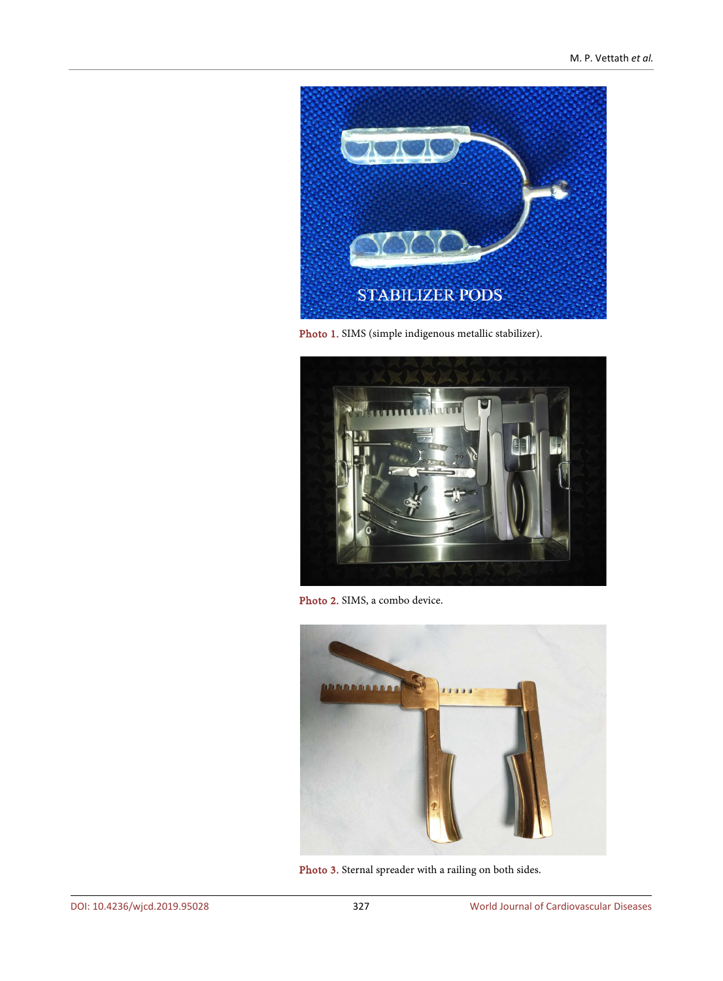<span id="page-3-0"></span>

Photo 1. SIMS (simple indigenous metallic stabilizer).

<span id="page-3-1"></span>

Photo 2. SIMS, a combo device.

<span id="page-3-2"></span>

Photo 3. Sternal spreader with a railing on both sides.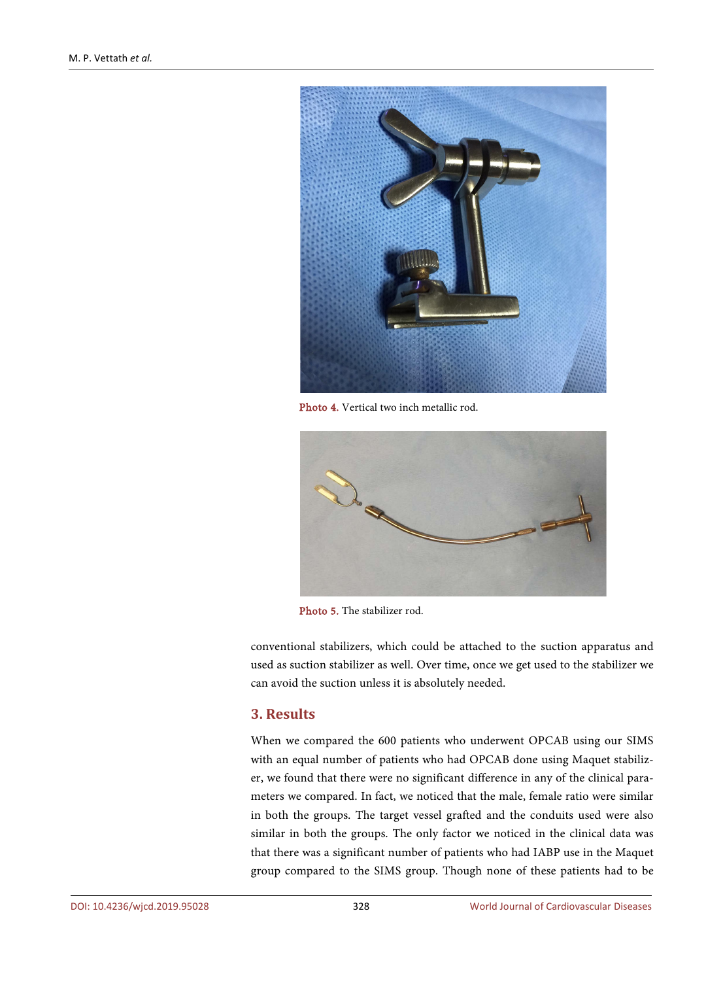<span id="page-4-0"></span>

Photo 4. Vertical two inch metallic rod.

<span id="page-4-1"></span>

Photo 5. The stabilizer rod.

conventional stabilizers, which could be attached to the suction apparatus and used as suction stabilizer as well. Over time, once we get used to the stabilizer we can avoid the suction unless it is absolutely needed.

# **3. Results**

When we compared the 600 patients who underwent OPCAB using our SIMS with an equal number of patients who had OPCAB done using Maquet stabilizer, we found that there were no significant difference in any of the clinical parameters we compared. In fact, we noticed that the male, female ratio were similar in both the groups. The target vessel grafted and the conduits used were also similar in both the groups. The only factor we noticed in the clinical data was that there was a significant number of patients who had IABP use in the Maquet group compared to the SIMS group. Though none of these patients had to be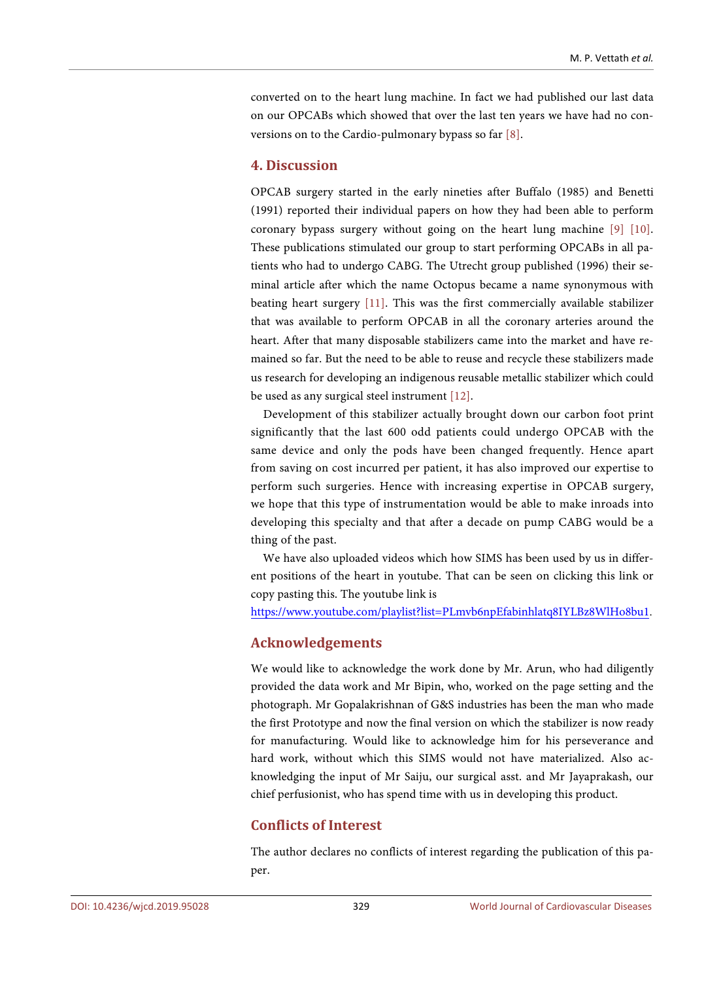converted on to the heart lung machine. In fact we had published our last data on our OPCABs which showed that over the last ten years we have had no conversions on to the Cardio-pulmonary bypass so far [\[8\].](#page-6-2)

# **4. Discussion**

OPCAB surgery started in the early nineties after Buffalo (1985) and Benetti (1991) reported their individual papers on how they had been able to perform coronary bypass surgery without going on the heart lung machine [\[9\]](#page-6-3) [\[10\].](#page-6-4)  These publications stimulated our group to start performing OPCABs in all patients who had to undergo CABG. The Utrecht group published (1996) their seminal article after which the name Octopus became a name synonymous with beating heart surgery [\[11\].](#page-6-5) This was the first commercially available stabilizer that was available to perform OPCAB in all the coronary arteries around the heart. After that many disposable stabilizers came into the market and have remained so far. But the need to be able to reuse and recycle these stabilizers made us research for developing an indigenous reusable metallic stabilizer which could be used as any surgical steel instrument [\[12\].](#page-6-6)

Development of this stabilizer actually brought down our carbon foot print significantly that the last 600 odd patients could undergo OPCAB with the same device and only the pods have been changed frequently. Hence apart from saving on cost incurred per patient, it has also improved our expertise to perform such surgeries. Hence with increasing expertise in OPCAB surgery, we hope that this type of instrumentation would be able to make inroads into developing this specialty and that after a decade on pump CABG would be a thing of the past.

We have also uploaded videos which how SIMS has been used by us in different positions of the heart in youtube. That can be seen on clicking this link or copy pasting this. The youtube link is

<https://www.youtube.com/playlist?list=PLmvb6npEfabinhlatq8IYLBz8WlHo8bu1>.

# **Acknowledgements**

We would like to acknowledge the work done by Mr. Arun, who had diligently provided the data work and Mr Bipin, who, worked on the page setting and the photograph. Mr Gopalakrishnan of G&S industries has been the man who made the first Prototype and now the final version on which the stabilizer is now ready for manufacturing. Would like to acknowledge him for his perseverance and hard work, without which this SIMS would not have materialized. Also acknowledging the input of Mr Saiju, our surgical asst. and Mr Jayaprakash, our chief perfusionist, who has spend time with us in developing this product.

# **Conflicts of Interest**

The author declares no conflicts of interest regarding the publication of this paper.